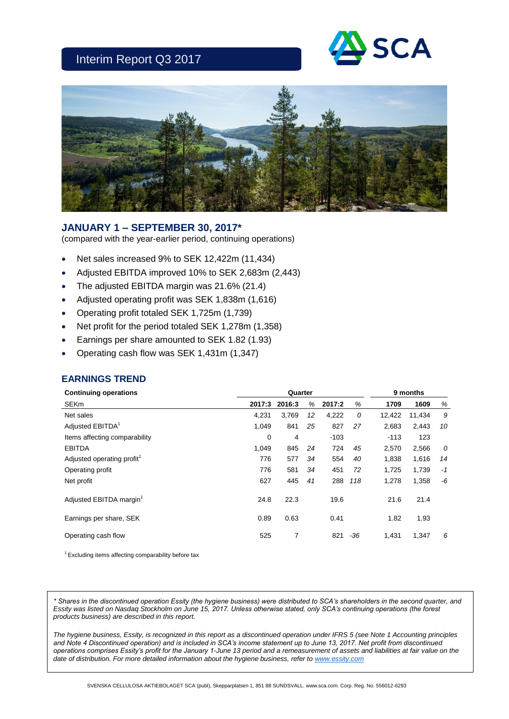# Interim Report Q3 2017





## **JANUARY 1 – SEPTEMBER 30, 2017\***

(compared with the year-earlier period, continuing operations)

- Net sales increased 9% to SEK 12,422m (11,434)
- Adjusted EBITDA improved 10% to SEK 2,683m (2,443)
- The adjusted EBITDA margin was 21.6% (21.4)
- Adjusted operating profit was SEK 1,838m (1,616)
- Operating profit totaled SEK 1,725m (1,739)
- Net profit for the period totaled SEK 1,278m (1,358)
- Earnings per share amounted to SEK 1.82 (1.93)
- Operating cash flow was SEK 1,431m (1,347)

## **EARNINGS TREND**

| <b>Continuing operations</b>           |        | 9 months |    |        |       |        |        |      |
|----------------------------------------|--------|----------|----|--------|-------|--------|--------|------|
| <b>SEKm</b>                            | 2017:3 | 2016:3   | %  | 2017:2 | %     | 1709   | 1609   | %    |
| Net sales                              | 4,231  | 3,769    | 12 | 4,222  | 0     | 12,422 | 11,434 | 9    |
| Adjusted EBITDA <sup>1</sup>           | 1,049  | 841      | 25 | 827    | 27    | 2,683  | 2,443  | 10   |
| Items affecting comparability          | 0      | 4        |    | $-103$ |       | $-113$ | 123    |      |
| <b>EBITDA</b>                          | 1,049  | 845      | 24 | 724    | 45    | 2,570  | 2,566  | 0    |
| Adjusted operating profit <sup>1</sup> | 776    | 577      | 34 | 554    | 40    | 1,838  | 1,616  | 14   |
| Operating profit                       | 776    | 581      | 34 | 451    | 72    | 1,725  | 1,739  | $-1$ |
| Net profit                             | 627    | 445      | 41 | 288    | 118   | 1,278  | 1,358  | -6   |
| Adjusted EBITDA margin <sup>1</sup>    | 24.8   | 22.3     |    | 19.6   |       | 21.6   | 21.4   |      |
| Earnings per share, SEK                | 0.89   | 0.63     |    | 0.41   |       | 1.82   | 1.93   |      |
| Operating cash flow                    | 525    | 7        |    | 821    | $-36$ | 1,431  | 1,347  | 6    |
|                                        |        |          |    |        |       |        |        |      |

 $1$  Excluding items affecting comparability before tax

*\* Shares in the discontinued operation Essity (the hygiene business) were distributed to SCA's shareholders in the second quarter, and Essity was listed on Nasdaq Stockholm on June 15, 2017. Unless otherwise stated, only SCA's continuing operations (the forest products business) are described in this report.*

*The hygiene business, Essity, is recognized in this report as a discontinued operation under IFRS 5 (see Note 1 Accounting principles and Note 4 Discontinued operation) and is included in SCA's income statement up to June 13, 2017. Net profit from discontinued operations comprises Essity's profit for the January 1-June 13 period and a remeasurement of assets and liabilities at fair value on the date of distribution. For more detailed information about the hygiene business, refer to [www.essity.com](http://www.essity.com/)*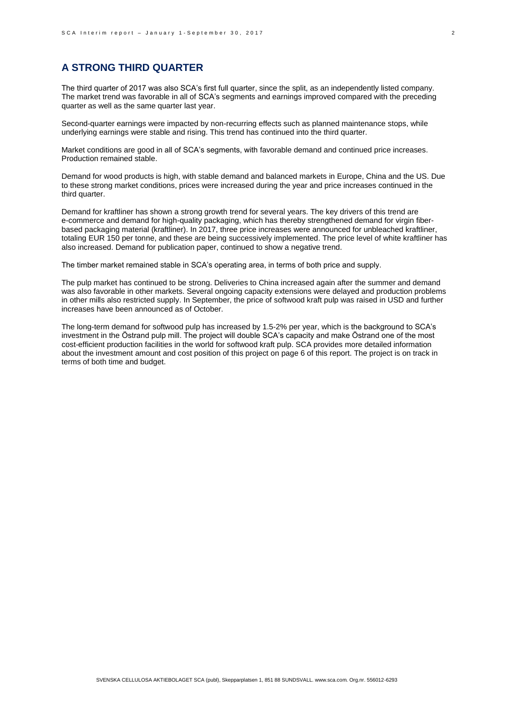## **A STRONG THIRD QUARTER**

The third quarter of 2017 was also SCA's first full quarter, since the split, as an independently listed company. The market trend was favorable in all of SCA's segments and earnings improved compared with the preceding quarter as well as the same quarter last year.

Second-quarter earnings were impacted by non-recurring effects such as planned maintenance stops, while underlying earnings were stable and rising. This trend has continued into the third quarter.

Market conditions are good in all of SCA's segments, with favorable demand and continued price increases. Production remained stable.

Demand for wood products is high, with stable demand and balanced markets in Europe, China and the US. Due to these strong market conditions, prices were increased during the year and price increases continued in the third quarter.

Demand for kraftliner has shown a strong growth trend for several years. The key drivers of this trend are e-commerce and demand for high-quality packaging, which has thereby strengthened demand for virgin fiberbased packaging material (kraftliner). In 2017, three price increases were announced for unbleached kraftliner, totaling EUR 150 per tonne, and these are being successively implemented. The price level of white kraftliner has also increased. Demand for publication paper, continued to show a negative trend.

The timber market remained stable in SCA's operating area, in terms of both price and supply.

The pulp market has continued to be strong. Deliveries to China increased again after the summer and demand was also favorable in other markets. Several ongoing capacity extensions were delayed and production problems in other mills also restricted supply. In September, the price of softwood kraft pulp was raised in USD and further increases have been announced as of October.

The long-term demand for softwood pulp has increased by 1.5-2% per year, which is the background to SCA's investment in the Östrand pulp mill. The project will double SCA's capacity and make Östrand one of the most cost-efficient production facilities in the world for softwood kraft pulp. SCA provides more detailed information about the investment amount and cost position of this project on page 6 of this report. The project is on track in terms of both time and budget.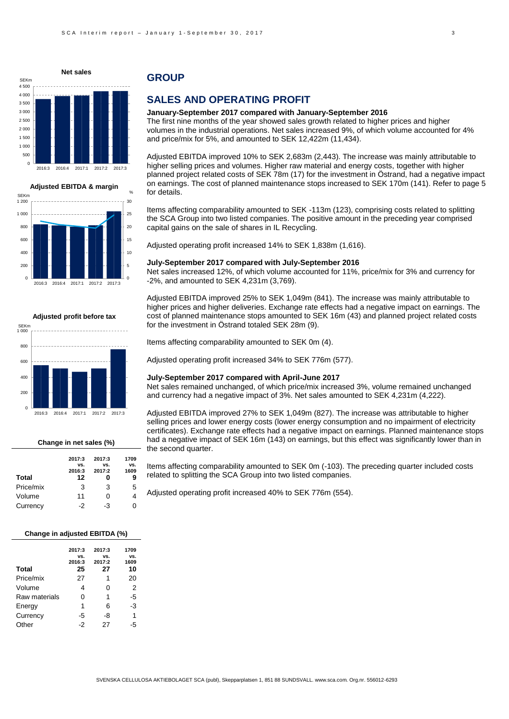





| Change in net sales (%) |        |        |      |  |  |  |  |  |  |
|-------------------------|--------|--------|------|--|--|--|--|--|--|
|                         | 2017:3 | 2017:3 | 1709 |  |  |  |  |  |  |
|                         | VS.    | VS.    | VS.  |  |  |  |  |  |  |
|                         | 2016:3 | 2017:2 | 1609 |  |  |  |  |  |  |
| Total                   | 12     |        | 9    |  |  |  |  |  |  |
| Price/mix               | 3      | 3      | 5    |  |  |  |  |  |  |
| Volume                  | 11     | Ω      | 4    |  |  |  |  |  |  |
| Currency                | -2     | -3     | o    |  |  |  |  |  |  |

#### **Change in adjusted EBITDA (%)**

| <b>Total</b>  | 2017:3<br>VS.<br>2016:3<br>25 | 2017:3<br>VS.<br>2017:2<br>27 | 1709<br>VS.<br>1609<br>10 |
|---------------|-------------------------------|-------------------------------|---------------------------|
| Price/mix     | 27                            | 1                             | 20                        |
| Volume        | 4                             | 0                             | 2                         |
| Raw materials | 0                             | 1                             | -5                        |
| Energy        | 1                             | 6                             | -3                        |
| Currency      | -5                            | -8                            | 1                         |
| Other         | -2                            | 27                            | -5                        |

## **GROUP**

## **SALES AND OPERATING PROFIT**

#### **January-September 2017 compared with January-September 2016**

The first nine months of the year showed sales growth related to higher prices and higher volumes in the industrial operations. Net sales increased 9%, of which volume accounted for 4% and price/mix for 5%, and amounted to SEK 12,422m (11,434).

Adjusted EBITDA improved 10% to SEK 2,683m (2,443). The increase was mainly attributable to higher selling prices and volumes. Higher raw material and energy costs, together with higher planned project related costs of SEK 78m (17) for the investment in Östrand, had a negative impact on earnings. The cost of planned maintenance stops increased to SEK 170m (141). Refer to page 5 for details.

Items affecting comparability amounted to SEK -113m (123), comprising costs related to splitting the SCA Group into two listed companies. The positive amount in the preceding year comprised capital gains on the sale of shares in IL Recycling.

Adjusted operating profit increased 14% to SEK 1,838m (1,616).

#### **July-September 2017 compared with July-September 2016**

Net sales increased 12%, of which volume accounted for 11%, price/mix for 3% and currency for -2%, and amounted to SEK 4,231m (3,769).

Adjusted EBITDA improved 25% to SEK 1,049m (841). The increase was mainly attributable to higher prices and higher deliveries. Exchange rate effects had a negative impact on earnings. The cost of planned maintenance stops amounted to SEK 16m (43) and planned project related costs for the investment in Östrand totaled SEK 28m (9).

Items affecting comparability amounted to SEK 0m (4).

Adjusted operating profit increased 34% to SEK 776m (577).

#### **July-September 2017 compared with April-June 2017**

Net sales remained unchanged, of which price/mix increased 3%, volume remained unchanged and currency had a negative impact of 3%. Net sales amounted to SEK 4,231m (4,222).

Adjusted EBITDA improved 27% to SEK 1,049m (827). The increase was attributable to higher selling prices and lower energy costs (lower energy consumption and no impairment of electricity certificates). Exchange rate effects had a negative impact on earnings. Planned maintenance stops had a negative impact of SEK 16m (143) on earnings, but this effect was significantly lower than in the second quarter.

Items affecting comparability amounted to SEK 0m (-103). The preceding quarter included costs related to splitting the SCA Group into two listed companies.

Adjusted operating profit increased 40% to SEK 776m (554).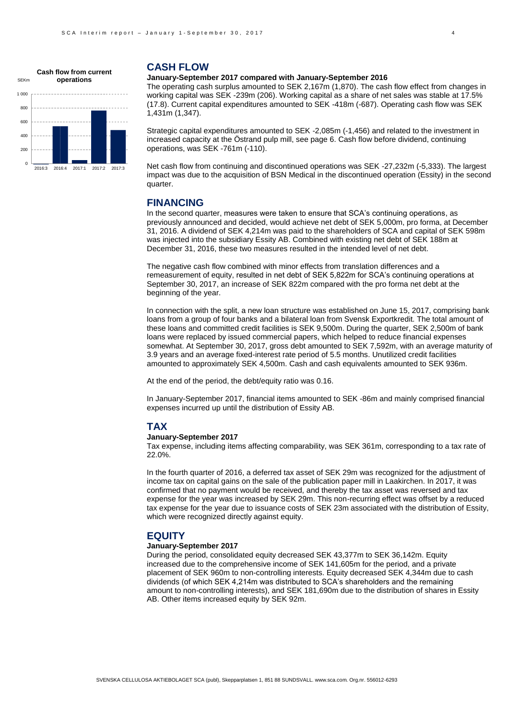

#### **CASH FLOW**

#### **January-September 2017 compared with January-September 2016**

The operating cash surplus amounted to SEK 2,167m (1,870). The cash flow effect from changes in working capital was SEK -239m (206). Working capital as a share of net sales was stable at 17.5% (17.8). Current capital expenditures amounted to SEK -418m (-687). Operating cash flow was SEK 1,431m (1,347).

Strategic capital expenditures amounted to SEK -2,085m (-1,456) and related to the investment in increased capacity at the Östrand pulp mill, see page 6. Cash flow before dividend, continuing operations, was SEK -761m (-110).

Net cash flow from continuing and discontinued operations was SEK -27,232m (-5,333). The largest impact was due to the acquisition of BSN Medical in the discontinued operation (Essity) in the second quarter.

## **FINANCING**

In the second quarter, measures were taken to ensure that SCA's continuing operations, as previously announced and decided, would achieve net debt of SEK 5,000m, pro forma, at December 31, 2016. A dividend of SEK 4,214m was paid to the shareholders of SCA and capital of SEK 598m was injected into the subsidiary Essity AB. Combined with existing net debt of SEK 188m at December 31, 2016, these two measures resulted in the intended level of net debt.

The negative cash flow combined with minor effects from translation differences and a remeasurement of equity, resulted in net debt of SEK 5,822m for SCA's continuing operations at September 30, 2017, an increase of SEK 822m compared with the pro forma net debt at the beginning of the year.

In connection with the split, a new loan structure was established on June 15, 2017, comprising bank loans from a group of four banks and a bilateral loan from Svensk Exportkredit. The total amount of these loans and committed credit facilities is SEK 9,500m. During the quarter, SEK 2,500m of bank loans were replaced by issued commercial papers, which helped to reduce financial expenses somewhat. At September 30, 2017, gross debt amounted to SEK 7,592m, with an average maturity of 3.9 years and an average fixed-interest rate period of 5.5 months. Unutilized credit facilities amounted to approximately SEK 4,500m. Cash and cash equivalents amounted to SEK 936m.

At the end of the period, the debt/equity ratio was 0.16.

In January-September 2017, financial items amounted to SEK -86m and mainly comprised financial expenses incurred up until the distribution of Essity AB.

## **TAX**

#### **January-September 2017**

Tax expense, including items affecting comparability, was SEK 361m, corresponding to a tax rate of 22.0%.

In the fourth quarter of 2016, a deferred tax asset of SEK 29m was recognized for the adjustment of income tax on capital gains on the sale of the publication paper mill in Laakirchen. In 2017, it was confirmed that no payment would be received, and thereby the tax asset was reversed and tax expense for the year was increased by SEK 29m. This non-recurring effect was offset by a reduced tax expense for the year due to issuance costs of SEK 23m associated with the distribution of Essity, which were recognized directly against equity.

#### **EQUITY**

#### **January-September 2017**

During the period, consolidated equity decreased SEK 43,377m to SEK 36,142m. Equity increased due to the comprehensive income of SEK 141,605m for the period, and a private placement of SEK 960m to non-controlling interests. Equity decreased SEK 4,344m due to cash dividends (of which SEK 4,214m was distributed to SCA's shareholders and the remaining amount to non-controlling interests), and SEK 181,690m due to the distribution of shares in Essity AB. Other items increased equity by SEK 92m.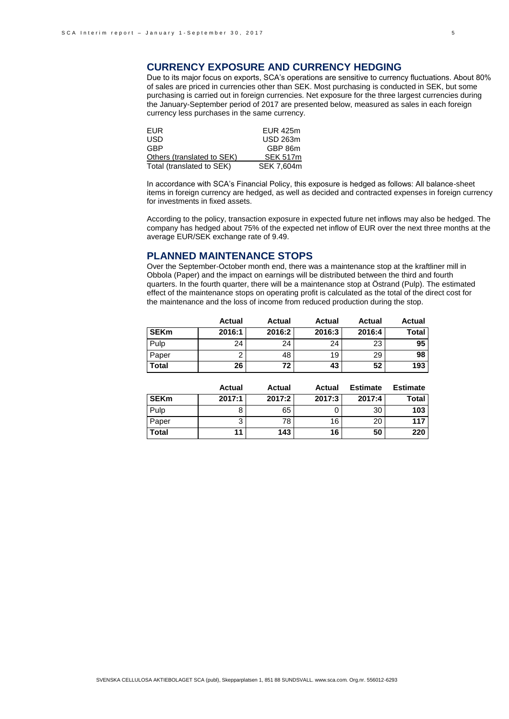## **CURRENCY EXPOSURE AND CURRENCY HEDGING**

Due to its major focus on exports, SCA's operations are sensitive to currency fluctuations. About 80% of sales are priced in currencies other than SEK. Most purchasing is conducted in SEK, but some purchasing is carried out in foreign currencies. Net exposure for the three largest currencies during the January-September period of 2017 are presented below, measured as sales in each foreign currency less purchases in the same currency.

| EUR.                       | <b>EUR 425m</b> |
|----------------------------|-----------------|
| USD                        | <b>USD 263m</b> |
| GBP                        | GBP 86m         |
| Others (translated to SEK) | <b>SEK 517m</b> |
| Total (translated to SEK)  | SEK 7,604m      |

In accordance with SCA's Financial Policy, this exposure is hedged as follows: All balance-sheet items in foreign currency are hedged, as well as decided and contracted expenses in foreign currency for investments in fixed assets.

According to the policy, transaction exposure in expected future net inflows may also be hedged. The company has hedged about 75% of the expected net inflow of EUR over the next three months at the average EUR/SEK exchange rate of 9.49.

## **PLANNED MAINTENANCE STOPS**

Over the September-October month end, there was a maintenance stop at the kraftliner mill in Obbola (Paper) and the impact on earnings will be distributed between the third and fourth quarters. In the fourth quarter, there will be a maintenance stop at Östrand (Pulp). The estimated effect of the maintenance stops on operating profit is calculated as the total of the direct cost for the maintenance and the loss of income from reduced production during the stop.

|             | <b>Actual</b> | <b>Actual</b> | Actual | Actual | Actual |
|-------------|---------------|---------------|--------|--------|--------|
| <b>SEKm</b> | 2016:1        | 2016:2        | 2016:3 | 2016:4 | Total  |
| Pulp        | 24            | 24            | 24     | 23     | 95     |
| Paper       |               | 48            | 19     | 29     | 98     |
| Total       | 26            | 72            | 43     | 52     | 193    |

|              | Actual | <b>Actual</b> | Actual | <b>Estimate</b> | <b>Estimate</b> |
|--------------|--------|---------------|--------|-----------------|-----------------|
| <b>SEKm</b>  | 2017:1 | 2017:2        | 2017:3 | 2017:4          | Total           |
| Pulp         |        | 65            |        | 30              | 103             |
| Paper        |        | 78            | 16     | 20              | 117             |
| <b>Total</b> | 11     | 143           | 16     | 50              | 220             |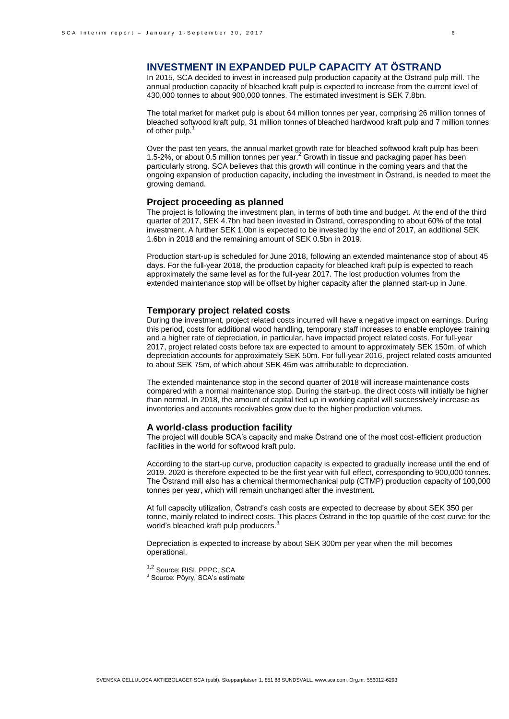# **INVESTMENT IN EXPANDED PULP CAPACITY AT ÖSTRAND**

In 2015, SCA decided to invest in increased pulp production capacity at the Östrand pulp mill. The annual production capacity of bleached kraft pulp is expected to increase from the current level of 430,000 tonnes to about 900,000 tonnes. The estimated investment is SEK 7.8bn.

The total market for market pulp is about 64 million tonnes per year, comprising 26 million tonnes of bleached softwood kraft pulp, 31 million tonnes of bleached hardwood kraft pulp and 7 million tonnes of other pulp.

Over the past ten years, the annual market growth rate for bleached softwood kraft pulp has been 1.5-2%, or about 0.5 million tonnes per year.<sup>2</sup> Growth in tissue and packaging paper has been particularly strong. SCA believes that this growth will continue in the coming years and that the ongoing expansion of production capacity, including the investment in Östrand, is needed to meet the growing demand.

#### **Project proceeding as planned**

The project is following the investment plan, in terms of both time and budget. At the end of the third quarter of 2017, SEK 4.7bn had been invested in Östrand, corresponding to about 60% of the total investment. A further SEK 1.0bn is expected to be invested by the end of 2017, an additional SEK 1.6bn in 2018 and the remaining amount of SEK 0.5bn in 2019.

Production start-up is scheduled for June 2018, following an extended maintenance stop of about 45 days. For the full-year 2018, the production capacity for bleached kraft pulp is expected to reach approximately the same level as for the full-year 2017. The lost production volumes from the extended maintenance stop will be offset by higher capacity after the planned start-up in June.

#### **Temporary project related costs**

During the investment, project related costs incurred will have a negative impact on earnings. During this period, costs for additional wood handling, temporary staff increases to enable employee training and a higher rate of depreciation, in particular, have impacted project related costs. For full-year 2017, project related costs before tax are expected to amount to approximately SEK 150m, of which depreciation accounts for approximately SEK 50m. For full-year 2016, project related costs amounted to about SEK 75m, of which about SEK 45m was attributable to depreciation.

The extended maintenance stop in the second quarter of 2018 will increase maintenance costs compared with a normal maintenance stop. During the start-up, the direct costs will initially be higher than normal. In 2018, the amount of capital tied up in working capital will successively increase as inventories and accounts receivables grow due to the higher production volumes.

#### **A world-class production facility**

The project will double SCA's capacity and make Östrand one of the most cost-efficient production facilities in the world for softwood kraft pulp.

According to the start-up curve, production capacity is expected to gradually increase until the end of 2019. 2020 is therefore expected to be the first year with full effect, corresponding to 900,000 tonnes. The Östrand mill also has a chemical thermomechanical pulp (CTMP) production capacity of 100,000 tonnes per year, which will remain unchanged after the investment.

At full capacity utilization, Östrand's cash costs are expected to decrease by about SEK 350 per tonne, mainly related to indirect costs. This places Östrand in the top quartile of the cost curve for the world's bleached kraft pulp producers.<sup>3</sup>

Depreciation is expected to increase by about SEK 300m per year when the mill becomes operational.

<sup>1,2</sup> Source: RISI, PPPC, SCA

<sup>3</sup> Source: Pöyry, SCA's estimate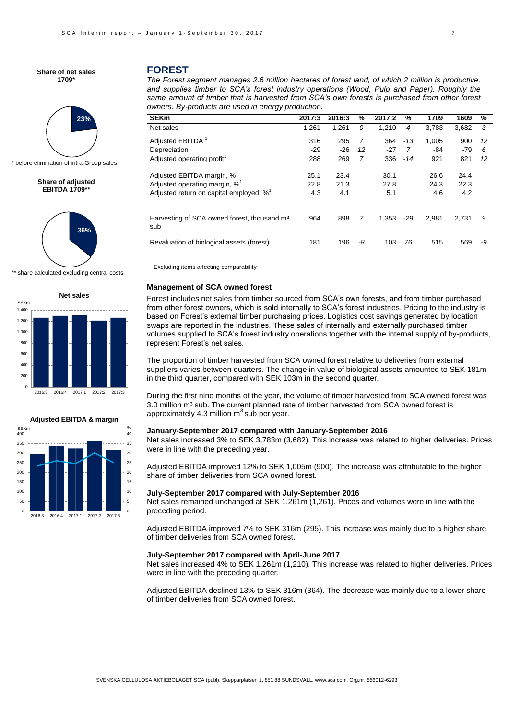# **23%**

before elimination of intra-Group sales

#### **Share of adjusted EBITDA 1709\*\***



\*\* share calculated excluding central costs



#### 0 5 10 15 20 25 30 35 40  $\overline{0}$ 50 100 150 200 250 300 350  $rac{5E}{400}$ **Adjusted EBITDA & margin** SEKm  $\%$

2016:3 2016:4 2017:1 2017:2 2017:3

## **FOREST**

*The Forest segment manages 2.6 million hectares of forest land, of which 2 million is productive, and supplies timber to SCA's forest industry operations (Wood, Pulp and Paper). Roughly the same amount of timber that is harvested from SCA's own forests is purchased from other forest owners. By-products are used in energy production.* 

| <b>SEKm</b>                                                    | 2017:3 | 2016:3 | %  | 2017:2 | %     | 1709  | 1609  | %  |
|----------------------------------------------------------------|--------|--------|----|--------|-------|-------|-------|----|
| Net sales                                                      | 1,261  | 1,261  | 0  | 1.210  | 4     | 3.783 | 3,682 | 3  |
| Adjusted EBITDA <sup>1</sup>                                   | 316    | 295    | 7  | 364    | $-13$ | 1,005 | 900   | 12 |
| Depreciation                                                   | $-29$  | $-26$  | 12 | $-27$  | 7     | -84   | $-79$ | 6  |
| Adjusted operating profit <sup>1</sup>                         | 288    | 269    | 7  | 336    | $-14$ | 921   | 821   | 12 |
| Adjusted EBITDA margin, $\%^1$                                 | 25.1   | 23.4   |    | 30.1   |       | 26.6  | 24.4  |    |
| Adjusted operating margin, $% ^{1}$                            | 22.8   | 21.3   |    | 27.8   |       | 24.3  | 22.3  |    |
| Adjusted return on capital employed, $\%$ <sup>1</sup>         | 4.3    | 4.1    |    | 5.1    |       | 4.6   | 4.2   |    |
| Harvesting of SCA owned forest, thousand m <sup>3</sup><br>sub | 964    | 898    | 7  | 1.353  | $-29$ | 2.981 | 2.731 | 9  |
| Revaluation of biological assets (forest)                      | 181    | 196    | -8 | 103    | 76    | 515   | 569   | -9 |

<sup>1</sup> Excluding items affecting comparability

#### **Management of SCA owned forest**

Forest includes net sales from timber sourced from SCA's own forests, and from timber purchased from other forest owners, which is sold internally to SCA's forest industries. Pricing to the industry is based on Forest's external timber purchasing prices. Logistics cost savings generated by location swaps are reported in the industries. These sales of internally and externally purchased timber volumes supplied to SCA's forest industry operations together with the internal supply of by-products, represent Forest's net sales.

The proportion of timber harvested from SCA owned forest relative to deliveries from external suppliers varies between quarters. The change in value of biological assets amounted to SEK 181m in the third quarter, compared with SEK 103m in the second quarter.

During the first nine months of the year, the volume of timber harvested from SCA owned forest was  $3.0$  million m $3$  sub. The current planned rate of timber harvested from SCA owned forest is approximately 4.3 million  $m<sup>3</sup>$  sub per year.

#### **January-September 2017 compared with January-September 2016**

Net sales increased 3% to SEK 3,783m (3,682). This increase was related to higher deliveries. Prices were in line with the preceding year.

Adjusted EBITDA improved 12% to SEK 1,005m (900). The increase was attributable to the higher share of timber deliveries from SCA owned forest.

#### **July-September 2017 compared with July-September 2016**

Net sales remained unchanged at SEK 1,261m (1,261). Prices and volumes were in line with the preceding period.

Adjusted EBITDA improved 7% to SEK 316m (295). This increase was mainly due to a higher share of timber deliveries from SCA owned forest.

#### **July-September 2017 compared with April-June 2017**

Net sales increased 4% to SEK 1,261m (1,210). This increase was related to higher deliveries. Prices were in line with the preceding quarter.

Adjusted EBITDA declined 13% to SEK 316m (364). The decrease was mainly due to a lower share of timber deliveries from SCA owned forest.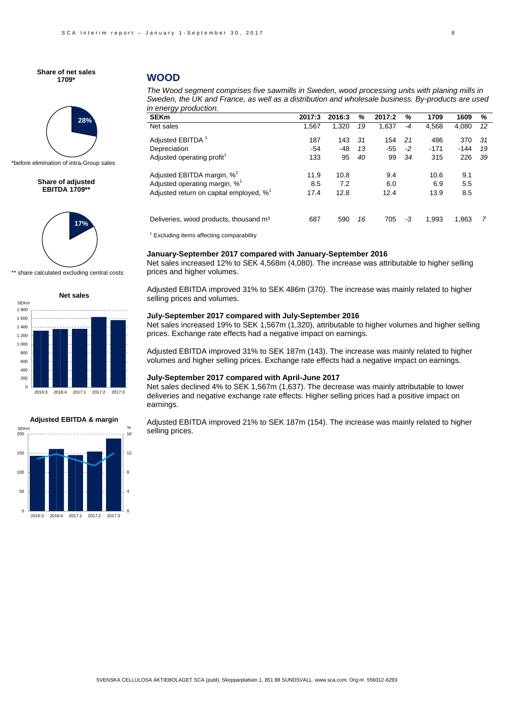

\*before elimination of intra-Group sales

**Share of adjusted EBITDA 1709\*\***



\*\* share calculated excluding central costs







## **WOOD**

*The Wood segment comprises five sawmills in Sweden, wood processing units with planing mills in Sweden, the UK and France, as well as a distribution and wholesale business. By-products are used in energy production.* 

| 2017:3 | 2016:3 | %   | 2017:2 | %    | 1709   | 1609   | %   |
|--------|--------|-----|--------|------|--------|--------|-----|
| 1,567  | 1,320  | 19  | 1,637  | $-4$ | 4,568  | 4,080  | 12  |
| 187    | 143    | -31 | 154    | -21  | 486    | 370    | -31 |
| $-54$  | $-48$  | 13  | -55    | $-2$ | $-171$ | $-144$ | 19  |
| 133    | 95     | 40  | 99     | 34   | 315    | 226    | -39 |
| 11.9   | 10.8   |     | 9.4    |      | 10.6   | 9.1    |     |
| 8.5    | 7.2    |     | 6.0    |      | 6.9    | 5.5    |     |
| 17.4   | 12.8   |     | 12.4   |      | 13.9   | 8.5    |     |
| 687    | 590    | 16  | 705    | -3   | 1,993  | 1,863  | 7   |
|        |        |     |        |      |        |        |     |

 $1$  Excluding items affecting comparability

#### **January-September 2017 compared with January-September 2016**

Net sales increased 12% to SEK 4,568m (4,080). The increase was attributable to higher selling prices and higher volumes.

Adjusted EBITDA improved 31% to SEK 486m (370). The increase was mainly related to higher selling prices and volumes.

#### **July-September 2017 compared with July-September 2016**

Net sales increased 19% to SEK 1,567m (1,320), attributable to higher volumes and higher selling prices. Exchange rate effects had a negative impact on earnings.

Adjusted EBITDA improved 31% to SEK 187m (143). The increase was mainly related to higher volumes and higher selling prices. Exchange rate effects had a negative impact on earnings.

#### **July-September 2017 compared with April-June 2017**

Net sales declined 4% to SEK 1,567m (1,637). The decrease was mainly attributable to lower deliveries and negative exchange rate effects. Higher selling prices had a positive impact on earnings.

Adjusted EBITDA improved 21% to SEK 187m (154). The increase was mainly related to higher selling prices.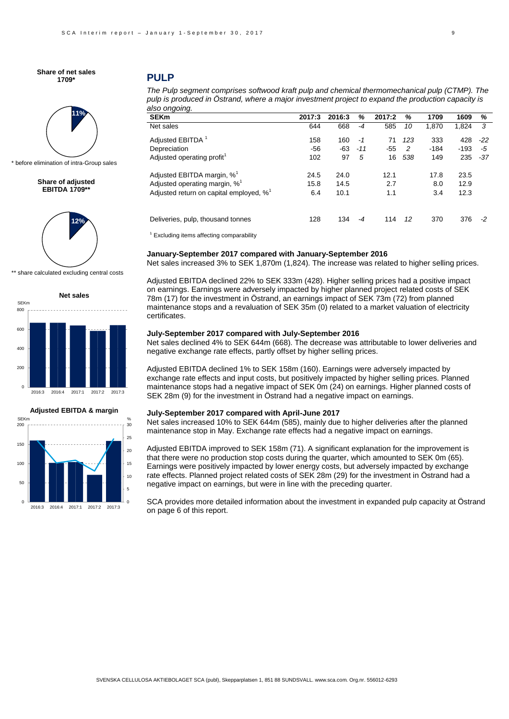# **11%**

before elimination of intra-Group sales

**Share of adjusted EBITDA 1709\*\***



\*\* share calculated excluding central costs





2016:3 2016:4 2017:1 2017:2 2017:3

0

50

100

150



0 5

## **PULP**

*The Pulp segment comprises softwood kraft pulp and chemical thermomechanical pulp (CTMP). The pulp is produced in Östrand, where a major investment project to expand the production capacity is also ongoing.*

| <b>SEKm</b>                                            | 2017:3 | 2016:3 | %     | 2017:2 | %   | 1709   | 1609   | %     |
|--------------------------------------------------------|--------|--------|-------|--------|-----|--------|--------|-------|
| Net sales                                              | 644    | 668    | $-4$  | 585    | 10  | 1.870  | 1.824  | 3     |
| Adjusted EBITDA <sup>1</sup>                           | 158    | 160    | -1    | 71     | 123 | 333    | 428    | $-22$ |
| Depreciation                                           | $-56$  | $-63$  | $-11$ | $-55$  | 2   | $-184$ | $-193$ | -5    |
| Adjusted operating profit <sup>1</sup>                 | 102    | 97     | 5     | 16     | 538 | 149    | 235    | -37   |
| Adjusted EBITDA margin, $\%^1$                         | 24.5   | 24.0   |       | 12.1   |     | 17.8   | 23.5   |       |
| Adjusted operating margin, % <sup>1</sup>              | 15.8   | 14.5   |       | 2.7    |     | 8.0    | 12.9   |       |
| Adjusted return on capital employed, $\%$ <sup>1</sup> | 6.4    | 10.1   |       | 1.1    |     | 3.4    | 12.3   |       |
| Deliveries, pulp, thousand tonnes                      | 128    | 134    | $-4$  | 114    | 12  | 370    | 376    | -2    |
|                                                        |        |        |       |        |     |        |        |       |

 $1$  Excluding items affecting comparability

#### **January-September 2017 compared with January-September 2016**

Net sales increased 3% to SEK 1,870m (1,824). The increase was related to higher selling prices.

Adjusted EBITDA declined 22% to SEK 333m (428). Higher selling prices had a positive impact on earnings. Earnings were adversely impacted by higher planned project related costs of SEK 78m (17) for the investment in Östrand, an earnings impact of SEK 73m (72) from planned maintenance stops and a revaluation of SEK 35m (0) related to a market valuation of electricity certificates.

#### **July-September 2017 compared with July-September 2016**

Net sales declined 4% to SEK 644m (668). The decrease was attributable to lower deliveries and negative exchange rate effects, partly offset by higher selling prices.

Adjusted EBITDA declined 1% to SEK 158m (160). Earnings were adversely impacted by exchange rate effects and input costs, but positively impacted by higher selling prices. Planned maintenance stops had a negative impact of SEK 0m (24) on earnings. Higher planned costs of SEK 28m (9) for the investment in Östrand had a negative impact on earnings.

#### **July-September 2017 compared with April-June 2017**

Net sales increased 10% to SEK 644m (585), mainly due to higher deliveries after the planned maintenance stop in May. Exchange rate effects had a negative impact on earnings.

Adjusted EBITDA improved to SEK 158m (71). A significant explanation for the improvement is that there were no production stop costs during the quarter, which amounted to SEK 0m (65). Earnings were positively impacted by lower energy costs, but adversely impacted by exchange rate effects. Planned project related costs of SEK 28m (29) for the investment in Östrand had a negative impact on earnings, but were in line with the preceding quarter.

SCA provides more detailed information about the investment in expanded pulp capacity at Östrand on page 6 of this report.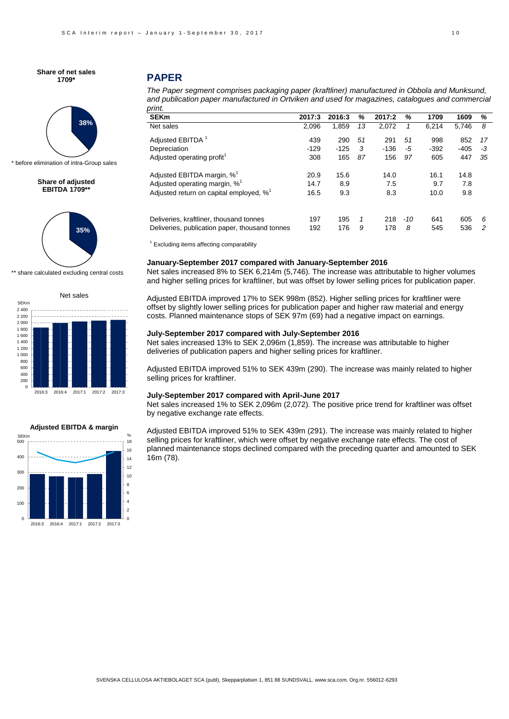

before elimination of intra-Group sales

#### **Share of adjusted EBITDA 1709\*\***



\*\* share calculated excluding central costs





## **PAPER**

| The Paper segment comprises packaging paper (kraftliner) manufactured in Obbola and Munksund,    |
|--------------------------------------------------------------------------------------------------|
| and publication paper manufactured in Ortviken and used for magazines, catalogues and commercial |
| print.                                                                                           |

| <b>SEKm</b>                                            | 2017:3 | 2016:3 | %  | 2017:2 | %     | 1709   | 1609   | ℅  |
|--------------------------------------------------------|--------|--------|----|--------|-------|--------|--------|----|
| Net sales                                              | 2.096  | 1.859  | 13 | 2.072  | 1     | 6.214  | 5,746  | 8  |
| Adjusted EBITDA 1                                      | 439    | 290    | 51 | 291    | 51    | 998    | 852    | 17 |
| Depreciation                                           | $-129$ | $-125$ | 3  | $-136$ | -5    | $-392$ | $-405$ | -3 |
| Adjusted operating profit <sup>1</sup>                 | 308    | 165    | 87 | 156    | 97    | 605    | 447    | 35 |
| Adjusted EBITDA margin, % <sup>1</sup>                 | 20.9   | 15.6   |    | 14.0   |       | 16.1   | 14.8   |    |
| Adjusted operating margin, $\%^1$                      | 14.7   | 8.9    |    | 7.5    |       | 9.7    | 7.8    |    |
| Adjusted return on capital employed, $\%$ <sup>1</sup> | 16.5   | 9.3    |    | 8.3    |       | 10.0   | 9.8    |    |
| Deliveries, kraftliner, thousand tonnes                | 197    | 195    | 1  | 218    | $-10$ | 641    | 605    | 6  |
| Deliveries, publication paper, thousand tonnes         | 192    | 176    | 9  | 178    | 8     | 545    | 536    | 2  |

<sup>1</sup> Excluding items affecting comparability

#### **January-September 2017 compared with January-September 2016**

Net sales increased 8% to SEK 6,214m (5,746). The increase was attributable to higher volumes and higher selling prices for kraftliner, but was offset by lower selling prices for publication paper.

Adjusted EBITDA improved 17% to SEK 998m (852). Higher selling prices for kraftliner were offset by slightly lower selling prices for publication paper and higher raw material and energy costs. Planned maintenance stops of SEK 97m (69) had a negative impact on earnings.

#### **July-September 2017 compared with July-September 2016**

Net sales increased 13% to SEK 2,096m (1,859). The increase was attributable to higher deliveries of publication papers and higher selling prices for kraftliner.

Adjusted EBITDA improved 51% to SEK 439m (290). The increase was mainly related to higher selling prices for kraftliner.

#### **July-September 2017 compared with April-June 2017**

Net sales increased 1% to SEK 2,096m (2,072). The positive price trend for kraftliner was offset by negative exchange rate effects.

Adjusted EBITDA improved 51% to SEK 439m (291). The increase was mainly related to higher selling prices for kraftliner, which were offset by negative exchange rate effects. The cost of planned maintenance stops declined compared with the preceding quarter and amounted to SEK 16m (78).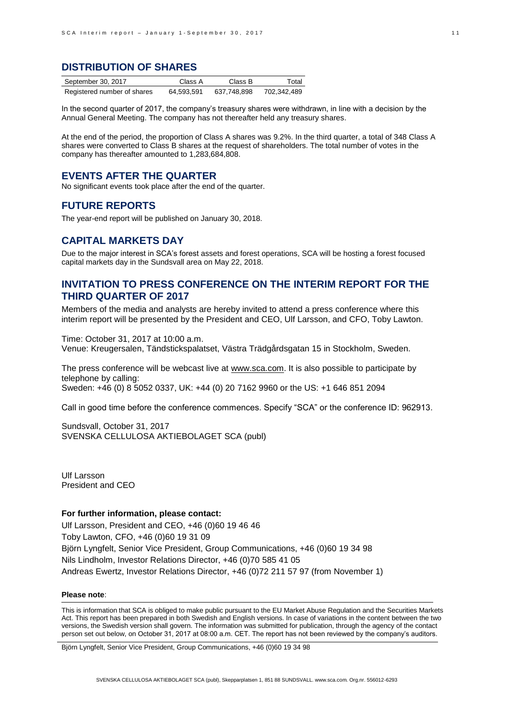## **DISTRIBUTION OF SHARES**

| September 30, 2017          | Class A    | Class B     | Total       |
|-----------------------------|------------|-------------|-------------|
| Registered number of shares | 64.593.591 | 637.748.898 | 702,342,489 |

In the second quarter of 2017, the company's treasury shares were withdrawn, in line with a decision by the Annual General Meeting. The company has not thereafter held any treasury shares.

At the end of the period, the proportion of Class A shares was 9.2%. In the third quarter, a total of 348 Class A shares were converted to Class B shares at the request of shareholders. The total number of votes in the company has thereafter amounted to 1,283,684,808.

## **EVENTS AFTER THE QUARTER**

No significant events took place after the end of the quarter.

## **FUTURE REPORTS**

The year-end report will be published on January 30, 2018.

## **CAPITAL MARKETS DAY**

Due to the major interest in SCA's forest assets and forest operations, SCA will be hosting a forest focused capital markets day in the Sundsvall area on May 22, 2018.

## **INVITATION TO PRESS CONFERENCE ON THE INTERIM REPORT FOR THE THIRD QUARTER OF 2017**

Members of the media and analysts are hereby invited to attend a press conference where this interim report will be presented by the President and CEO, Ulf Larsson, and CFO, Toby Lawton.

Time: October 31, 2017 at 10:00 a.m. Venue: Kreugersalen, Tändstickspalatset, Västra Trädgårdsgatan 15 in Stockholm, Sweden.

The press conference will be webcast live at [www.sca.com.](http://www.sca.com/) It is also possible to participate by telephone by calling: Sweden: +46 (0) 8 5052 0337, UK: +44 (0) 20 7162 9960 or the US: +1 646 851 2094

Call in good time before the conference commences. Specify "SCA" or the conference ID: 962913.

Sundsvall, October 31, 2017 SVENSKA CELLULOSA AKTIEBOLAGET SCA (publ)

Ulf Larsson President and CEO

## **For further information, please contact:**

Ulf Larsson, President and CEO, +46 (0)60 19 46 46 Toby Lawton, CFO, +46 (0)60 19 31 09 Björn Lyngfelt, Senior Vice President, Group Communications, +46 (0)60 19 34 98 Nils Lindholm, Investor Relations Director, +46 (0)70 585 41 05 Andreas Ewertz, Investor Relations Director, +46 (0)72 211 57 97 (from November 1)

#### **Please note**:

This is information that SCA is obliged to make public pursuant to the EU Market Abuse Regulation and the Securities Markets Act. This report has been prepared in both Swedish and English versions. In case of variations in the content between the two versions, the Swedish version shall govern. The information was submitted for publication, through the agency of the contact person set out below, on October 31, 2017 at 08:00 a.m. CET. The report has not been reviewed by the company's auditors.

Björn Lyngfelt, Senior Vice President, Group Communications, +46 (0)60 19 34 98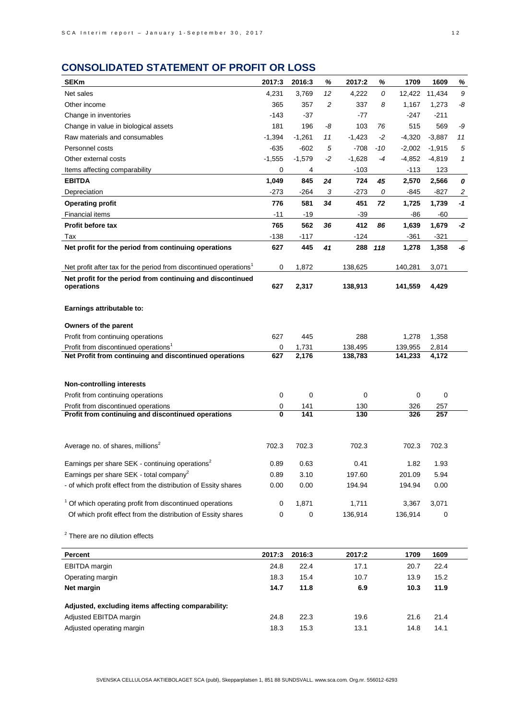# **CONSOLIDATED STATEMENT OF PROFIT OR LOSS**

| <b>SEKm</b>                                                                   | 2017:3       | 2016:3      | %    | 2017:2   | %   | 1709     | 1609        | %              |
|-------------------------------------------------------------------------------|--------------|-------------|------|----------|-----|----------|-------------|----------------|
| Net sales                                                                     | 4,231        | 3,769       | 12   | 4,222    | 0   | 12,422   | 11,434      | 9              |
| Other income                                                                  | 365          | 357         | 2    | 337      | 8   | 1.167    | 1,273       | -8             |
| Change in inventories                                                         | -143         | $-37$       |      | -77      |     | -247     | $-211$      |                |
| Change in value in biological assets                                          | 181          | 196         | -8   | 103      | 76  | 515      | 569         | -9             |
| Raw materials and consumables                                                 | $-1,394$     | $-1,261$    | 11   | $-1,423$ | -2  | $-4,320$ | $-3,887$    | 11             |
| Personnel costs                                                               | -635         | $-602$      | 5    | -708     | -10 | $-2,002$ | $-1,915$    | 5              |
| Other external costs                                                          | $-1,555$     | $-1,579$    | $-2$ | $-1,628$ | -4  | $-4,852$ | $-4,819$    | 1              |
| Items affecting comparability                                                 | 0            | 4           |      | $-103$   |     | $-113$   | 123         |                |
| <b>EBITDA</b>                                                                 | 1.049        | 845         | 24   | 724      | 45  | 2,570    | 2,566       | 0              |
| Depreciation                                                                  | $-273$       | $-264$      | 3    | $-273$   | 0   | -845     | $-827$      | $\overline{c}$ |
| <b>Operating profit</b>                                                       | 776          | 581         | 34   | 451      | 72  | 1,725    | 1,739       | $-1$           |
| <b>Financial items</b>                                                        | $-11$        | $-19$       |      | $-39$    |     | -86      | -60         |                |
| <b>Profit before tax</b>                                                      | 765          | 562         | 36   | 412      | 86  | 1,639    | 1,679       | $-2$           |
| Tax                                                                           | $-138$       | -117        |      | -124     |     | -361     | $-321$      |                |
| Net profit for the period from continuing operations                          | 627          | 445         | 41   | 288      | 118 | 1,278    | 1,358       | -6             |
| Net profit after tax for the period from discontinued operations <sup>1</sup> | 0            | 1,872       |      | 138,625  |     | 140,281  | 3,071       |                |
| Net profit for the period from continuing and discontinued<br>operations      | 627          | 2,317       |      | 138,913  |     | 141,559  | 4,429       |                |
| Earnings attributable to:                                                     |              |             |      |          |     |          |             |                |
| Owners of the parent                                                          |              |             |      |          |     |          |             |                |
| Profit from continuing operations                                             | 627          | 445         |      | 288      |     | 1,278    | 1,358       |                |
| Profit from discontinued operations <sup>1</sup>                              | 0            | 1,731       |      | 138,495  |     | 139,955  | 2,814       |                |
| Net Profit from continuing and discontinued operations                        | 627          | 2,176       |      | 138,783  |     | 141,233  | 4,172       |                |
|                                                                               |              |             |      |          |     |          |             |                |
| <b>Non-controlling interests</b>                                              |              |             |      |          |     |          |             |                |
| Profit from continuing operations                                             | 0            | $\mathbf 0$ |      | 0        |     | 0        | $\mathbf 0$ |                |
| Profit from discontinued operations                                           | 0            | 141         |      | 130      |     | 326      | 257         |                |
| Profit from continuing and discontinued operations                            | $\mathbf{0}$ | 141         |      | 130      |     | 326      | 257         |                |
|                                                                               |              |             |      |          |     |          |             |                |
| Average no. of shares, millions <sup>2</sup>                                  | 702.3        | 702.3       |      | 702.3    |     | 702.3    | 702.3       |                |
| Earnings per share SEK - continuing operations <sup>2</sup>                   | 0.89         | 0.63        |      | 0.41     |     | 1.82     | 1.93        |                |
| Earnings per share SEK - total company <sup>2</sup>                           | 0.89         | 3.10        |      | 197.60   |     | 201.09   | 5.94        |                |
| - of which profit effect from the distribution of Essity shares               | 0.00         | 0.00        |      | 194.94   |     | 194.94   | 0.00        |                |
|                                                                               |              |             |      |          |     |          |             |                |
| <sup>1</sup> Of which operating profit from discontinued operations           | 0            | 1,871       |      | 1,711    |     | 3,367    | 3,071       |                |
| Of which profit effect from the distribution of Essity shares                 | 0            | $\mathbf 0$ |      | 136,914  |     | 136,914  | 0           |                |
| <sup>2</sup> There are no dilution effects                                    |              |             |      |          |     |          |             |                |
| <b>Percent</b>                                                                | 2017:3       | 2016:3      |      | 2017:2   |     | 1709     | 1609        |                |
| <b>EBITDA</b> margin                                                          | 24.8         | 22.4        |      | 17.1     |     | 20.7     | 22.4        |                |
| Operating margin                                                              | 18.3         | 15.4        |      | 10.7     |     | 13.9     | 15.2        |                |
| Net margin                                                                    | 14.7         | 11.8        |      | 6.9      |     | 10.3     | 11.9        |                |
|                                                                               |              |             |      |          |     |          |             |                |

| Adjusted, excluding items affecting comparability: |      |      |      |      |      |
|----------------------------------------------------|------|------|------|------|------|
| Adjusted EBITDA margin                             | 24.8 | 22.3 | 19.6 | 21.6 | 21.4 |
| Adjusted operating margin                          | 18.3 | 15.3 | 13.1 | 14.8 | 14.1 |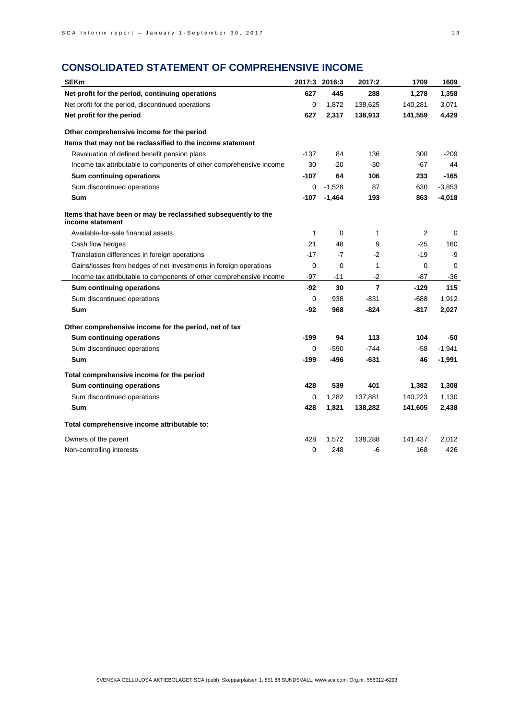# **CONSOLIDATED STATEMENT OF COMPREHENSIVE INCOME**

| <b>SEKm</b>                                                                         |              | 2017:3 2016:3 | 2017:2         | 1709           | 1609     |
|-------------------------------------------------------------------------------------|--------------|---------------|----------------|----------------|----------|
| Net profit for the period, continuing operations                                    | 627          | 445           | 288            | 1,278          | 1,358    |
| Net profit for the period, discontinued operations                                  | 0            | 1,872         | 138,625        | 140,281        | 3,071    |
| Net profit for the period                                                           | 627          | 2,317         | 138,913        | 141,559        | 4,429    |
| Other comprehensive income for the period                                           |              |               |                |                |          |
| Items that may not be reclassified to the income statement                          |              |               |                |                |          |
| Revaluation of defined benefit pension plans                                        | $-137$       | 84            | 136            | 300            | $-209$   |
| Income tax attributable to components of other comprehensive income                 | 30           | $-20$         | $-30$          | $-67$          | 44       |
| Sum continuing operations                                                           | $-107$       | 64            | 106            | 233            | $-165$   |
| Sum discontinued operations                                                         | 0            | $-1,528$      | 87             | 630            | $-3,853$ |
| Sum                                                                                 | $-107$       | $-1,464$      | 193            | 863            | $-4,018$ |
| Items that have been or may be reclassified subsequently to the<br>income statement |              |               |                |                |          |
| Available-for-sale financial assets                                                 | $\mathbf{1}$ | 0             | 1              | $\overline{2}$ | 0        |
| Cash flow hedges                                                                    | 21           | 48            | 9              | $-25$          | 160      |
| Translation differences in foreign operations                                       | $-17$        | $-7$          | $-2$           | $-19$          | -9       |
| Gains/losses from hedges of net investments in foreign operations                   | 0            | 0             | $\mathbf{1}$   | 0              | 0        |
| Income tax attributable to components of other comprehensive income                 | $-97$        | $-11$         | $-2$           | $-87$          | -36      |
| Sum continuing operations                                                           | -92          | 30            | $\overline{7}$ | $-129$         | 115      |
| Sum discontinued operations                                                         | 0            | 938           | -831           | -688           | 1,912    |
| Sum                                                                                 | -92          | 968           | -824           | $-817$         | 2,027    |
| Other comprehensive income for the period, net of tax                               |              |               |                |                |          |
| Sum continuing operations                                                           | $-199$       | 94            | 113            | 104            | -50      |
| Sum discontinued operations                                                         | 0            | $-590$        | $-744$         | -58            | $-1,941$ |
| Sum                                                                                 | -199         | -496          | -631           | 46             | $-1,991$ |
| Total comprehensive income for the period                                           |              |               |                |                |          |
| Sum continuing operations                                                           | 428          | 539           | 401            | 1,382          | 1,308    |
| Sum discontinued operations                                                         | 0            | 1,282         | 137,881        | 140,223        | 1,130    |
| Sum                                                                                 | 428          | 1,821         | 138,282        | 141,605        | 2,438    |
| Total comprehensive income attributable to:                                         |              |               |                |                |          |
| Owners of the parent                                                                | 428          | 1,572         | 138,288        | 141,437        | 2,012    |
| Non-controlling interests                                                           | 0            | 248           | -6             | 168            | 426      |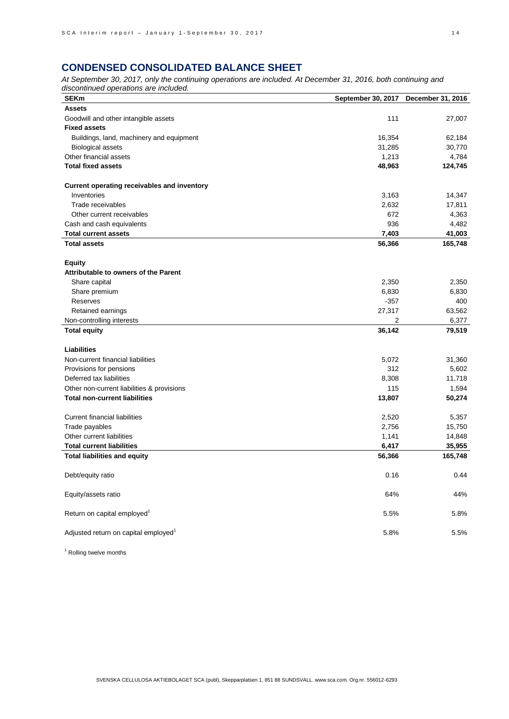# **CONDENSED CONSOLIDATED BALANCE SHEET**

*At September 30, 2017, only the continuing operations are included. At December 31, 2016, both continuing and discontinued operations are included.*

| <b>SEKm</b>                                        | September 30, 2017 | December 31, 2016 |
|----------------------------------------------------|--------------------|-------------------|
| <b>Assets</b>                                      |                    |                   |
| Goodwill and other intangible assets               | 111                | 27,007            |
| <b>Fixed assets</b>                                |                    |                   |
| Buildings, land, machinery and equipment           | 16,354             | 62,184            |
| <b>Biological assets</b>                           | 31,285             | 30,770            |
| Other financial assets                             | 1,213              | 4,784             |
| <b>Total fixed assets</b>                          | 48,963             | 124,745           |
|                                                    |                    |                   |
| <b>Current operating receivables and inventory</b> |                    |                   |
| Inventories                                        | 3,163              | 14,347            |
| Trade receivables                                  | 2,632              | 17,811            |
| Other current receivables                          | 672                | 4,363             |
| Cash and cash equivalents                          | 936                | 4,482             |
| <b>Total current assets</b>                        | 7,403              | 41,003            |
| <b>Total assets</b>                                | 56,366             | 165,748           |
|                                                    |                    |                   |
| <b>Equity</b>                                      |                    |                   |
| Attributable to owners of the Parent               |                    |                   |
| Share capital                                      | 2,350              | 2,350             |
| Share premium                                      | 6,830              | 6,830             |
| Reserves                                           | $-357$             | 400               |
| Retained earnings                                  | 27,317             | 63,562            |
| Non-controlling interests                          | 2                  | 6,377             |
| <b>Total equity</b>                                | 36,142             | 79,519            |
| <b>Liabilities</b>                                 |                    |                   |
| Non-current financial liabilities                  | 5,072              | 31,360            |
| Provisions for pensions                            | 312                | 5,602             |
| Deferred tax liabilities                           | 8,308              | 11,718            |
| Other non-current liabilities & provisions         | 115                | 1,594             |
| <b>Total non-current liabilities</b>               | 13,807             |                   |
|                                                    |                    | 50,274            |
| <b>Current financial liabilities</b>               | 2,520              | 5,357             |
| Trade payables                                     | 2,756              | 15,750            |
| Other current liabilities                          | 1,141              | 14,848            |
| <b>Total current liabilities</b>                   | 6,417              | 35,955            |
| <b>Total liabilities and equity</b>                | 56,366             | 165,748           |
|                                                    |                    |                   |
| Debt/equity ratio                                  | 0.16               | 0.44              |
|                                                    |                    |                   |
| Equity/assets ratio                                | 64%                | 44%               |
| Return on capital employed <sup>1</sup>            | 5.5%               | 5.8%              |
|                                                    |                    |                   |
| Adjusted return on capital employed <sup>1</sup>   | 5.8%               | 5.5%              |

<sup>1</sup> Rolling twelve months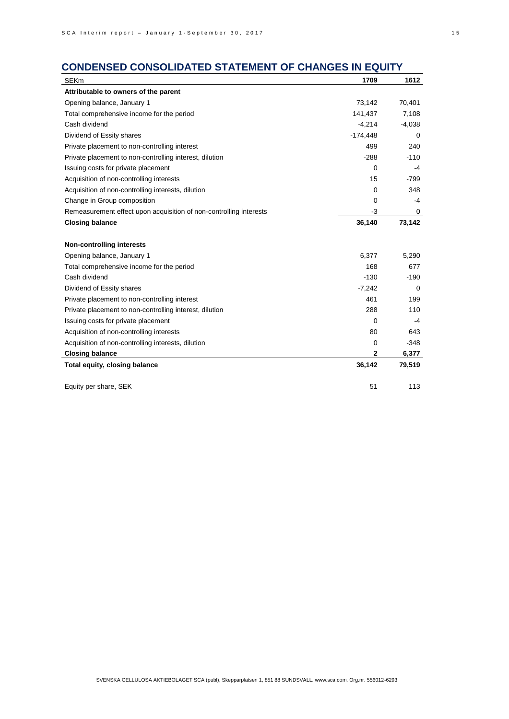# **CONDENSED CONSOLIDATED STATEMENT OF CHANGES IN EQUITY**

| <b>SEKm</b>                                                        | 1709         | 1612        |
|--------------------------------------------------------------------|--------------|-------------|
| Attributable to owners of the parent                               |              |             |
| Opening balance, January 1                                         | 73,142       | 70,401      |
| Total comprehensive income for the period                          | 141,437      | 7,108       |
| Cash dividend                                                      | $-4,214$     | $-4,038$    |
| Dividend of Essity shares                                          | $-174,448$   | 0           |
| Private placement to non-controlling interest                      | 499          | 240         |
| Private placement to non-controlling interest, dilution            | $-288$       | $-110$      |
| Issuing costs for private placement                                | 0            | -4          |
| Acquisition of non-controlling interests                           | 15           | $-799$      |
| Acquisition of non-controlling interests, dilution                 | 0            | 348         |
| Change in Group composition                                        | 0            | -4          |
| Remeasurement effect upon acquisition of non-controlling interests | $-3$         | 0           |
| <b>Closing balance</b>                                             | 36,140       | 73,142      |
| <b>Non-controlling interests</b>                                   |              |             |
| Opening balance, January 1                                         | 6,377        | 5,290       |
| Total comprehensive income for the period                          | 168          | 677         |
| Cash dividend                                                      | $-130$       | $-190$      |
| Dividend of Essity shares                                          | $-7,242$     | $\mathbf 0$ |
| Private placement to non-controlling interest                      | 461          | 199         |
| Private placement to non-controlling interest, dilution            | 288          | 110         |
| Issuing costs for private placement                                | 0            | -4          |
| Acquisition of non-controlling interests                           | 80           | 643         |
| Acquisition of non-controlling interests, dilution                 | 0            | $-348$      |
| <b>Closing balance</b>                                             | $\mathbf{2}$ | 6,377       |
| Total equity, closing balance                                      | 36,142       | 79,519      |
| Equity per share, SEK                                              | 51           | 113         |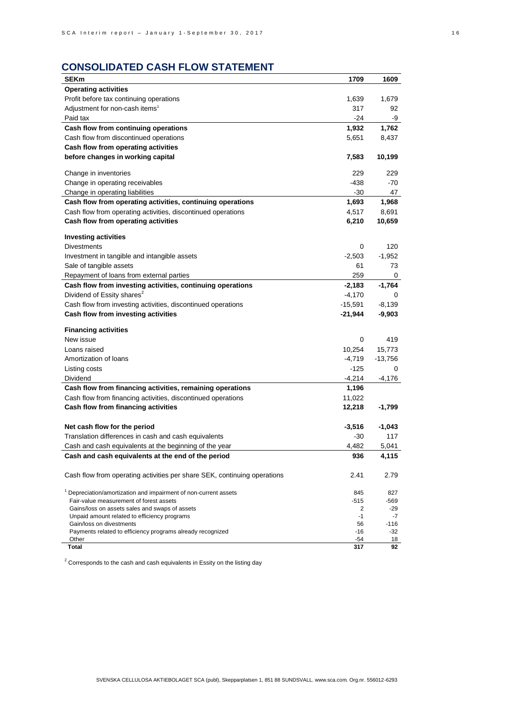# **CONSOLIDATED CASH FLOW STATEMENT**

| <b>SEKm</b>                                                                               | 1709        | 1609          |
|-------------------------------------------------------------------------------------------|-------------|---------------|
| <b>Operating activities</b>                                                               |             |               |
| Profit before tax continuing operations                                                   | 1,639       | 1,679         |
| Adjustment for non-cash items <sup>1</sup>                                                | 317         | 92            |
| Paid tax                                                                                  | -24         | -9            |
| Cash flow from continuing operations                                                      | 1,932       | 1,762         |
| Cash flow from discontinued operations                                                    | 5,651       | 8,437         |
| Cash flow from operating activities                                                       |             |               |
| before changes in working capital                                                         | 7,583       | 10,199        |
|                                                                                           |             |               |
| Change in inventories                                                                     | 229         | 229           |
| Change in operating receivables                                                           | -438        | -70           |
| Change in operating liabilities                                                           | $-30$       | 47            |
| Cash flow from operating activities, continuing operations                                | 1,693       | 1,968         |
| Cash flow from operating activities, discontinued operations                              | 4,517       | 8,691         |
| Cash flow from operating activities                                                       | 6,210       | 10,659        |
|                                                                                           |             |               |
| <b>Investing activities</b>                                                               |             |               |
| <b>Divestments</b>                                                                        | 0           | 120           |
| Investment in tangible and intangible assets                                              | $-2,503$    | $-1,952$      |
| Sale of tangible assets                                                                   | 61          | 73            |
| Repayment of loans from external parties                                                  | 259         | 0             |
| Cash flow from investing activities, continuing operations                                | $-2,183$    | $-1,764$      |
| Dividend of Essity shares <sup>2</sup>                                                    | $-4,170$    | 0             |
| Cash flow from investing activities, discontinued operations                              | -15,591     | $-8,139$      |
| Cash flow from investing activities                                                       | $-21,944$   | -9,903        |
|                                                                                           |             |               |
| <b>Financing activities</b>                                                               |             | 419           |
| New issue                                                                                 | 0           |               |
| Loans raised                                                                              | 10,254      | 15,773        |
| Amortization of loans                                                                     | $-4,719$    | $-13,756$     |
| Listing costs                                                                             | -125        | 0             |
| Dividend                                                                                  | $-4,214$    | -4,176        |
| Cash flow from financing activities, remaining operations                                 | 1,196       |               |
| Cash flow from financing activities, discontinued operations                              | 11,022      |               |
| Cash flow from financing activities                                                       | 12,218      | -1,799        |
|                                                                                           |             |               |
| Net cash flow for the period                                                              | $-3,516$    | $-1,043$      |
| Translation differences in cash and cash equivalents                                      | -30         | 117           |
| Cash and cash equivalents at the beginning of the year                                    | 4,482       | 5,041         |
| Cash and cash equivalents at the end of the period                                        | 936         | 4,115         |
|                                                                                           |             |               |
| Cash flow from operating activities per share SEK, continuing operations                  | 2.41        | 2.79          |
|                                                                                           |             |               |
| Depreciation/amortization and impairment of non-current assets                            | 845         | 827           |
| Fair-value measurement of forest assets<br>Gains/loss on assets sales and swaps of assets | $-515$<br>2 | -569<br>$-29$ |
| Unpaid amount related to efficiency programs                                              | $-1$        | -7            |
| Gain/loss on divestments                                                                  | 56          | $-116$        |
| Payments related to efficiency programs already recognized                                | -16         | -32           |
| Other                                                                                     | -54         | 18            |
| <b>Total</b>                                                                              | 317         | 92            |

 $2$  Corresponds to the cash and cash equivalents in Essity on the listing day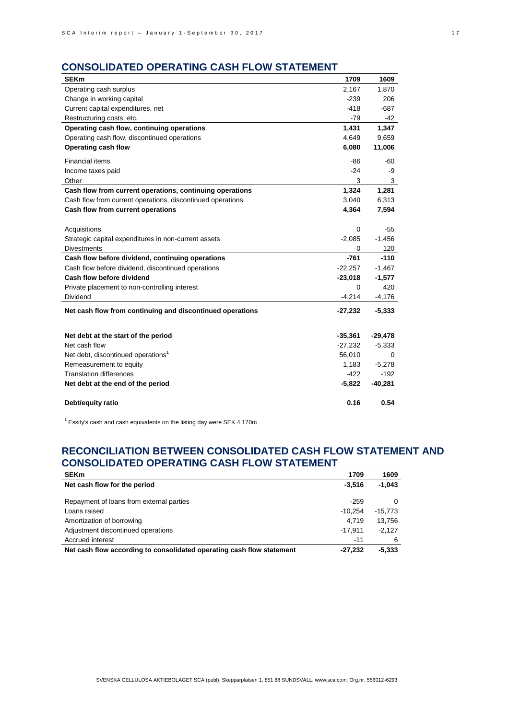# **CONSOLIDATED OPERATING CASH FLOW STATEMENT**

| <b>SEKm</b>                                                | 1709      | 1609      |
|------------------------------------------------------------|-----------|-----------|
| Operating cash surplus                                     | 2,167     | 1,870     |
| Change in working capital                                  | $-239$    | 206       |
| Current capital expenditures, net                          | $-418$    | $-687$    |
| Restructuring costs, etc.                                  | $-79$     | -42       |
| Operating cash flow, continuing operations                 | 1,431     | 1,347     |
| Operating cash flow, discontinued operations               | 4,649     | 9,659     |
| Operating cash flow                                        | 6,080     | 11,006    |
| <b>Financial items</b>                                     | -86       | -60       |
| Income taxes paid                                          | $-24$     | -9        |
| Other                                                      | 3         | 3         |
| Cash flow from current operations, continuing operations   | 1,324     | 1,281     |
| Cash flow from current operations, discontinued operations | 3,040     | 6,313     |
| Cash flow from current operations                          | 4,364     | 7,594     |
|                                                            |           |           |
| Acquisitions                                               | 0         | $-55$     |
| Strategic capital expenditures in non-current assets       | $-2,085$  | $-1,456$  |
| <b>Divestments</b>                                         | 0         | 120       |
| Cash flow before dividend, continuing operations           | $-761$    | $-110$    |
| Cash flow before dividend, discontinued operations         | $-22,257$ | $-1,467$  |
| Cash flow before dividend                                  | $-23,018$ | $-1,577$  |
| Private placement to non-controlling interest              | 0         | 420       |
| <b>Dividend</b>                                            | $-4,214$  | $-4,176$  |
| Net cash flow from continuing and discontinued operations  | $-27,232$ | $-5,333$  |
|                                                            |           |           |
| Net debt at the start of the period                        | $-35,361$ | $-29,478$ |
| Net cash flow                                              | $-27,232$ | $-5,333$  |
| Net debt, discontinued operations <sup>1</sup>             | 56,010    | 0         |
| Remeasurement to equity                                    | 1,183     | $-5,278$  |
| <b>Translation differences</b>                             | $-422$    | $-192$    |
| Net debt at the end of the period                          | $-5,822$  | $-40,281$ |
| Debt/equity ratio                                          | 0.16      | 0.54      |

 $1$  Essity's cash and cash equivalents on the listing day were SEK 4,170m

# **RECONCILIATION BETWEEN CONSOLIDATED CASH FLOW STATEMENT AND CONSOLIDATED OPERATING CASH FLOW STATEMENT**

| <b>SEKm</b>                                                           | 1709      | 1609     |
|-----------------------------------------------------------------------|-----------|----------|
| Net cash flow for the period                                          | $-3.516$  | $-1.043$ |
| Repayment of loans from external parties                              | $-259$    | 0        |
| Loans raised                                                          | $-10.254$ | -15.773  |
| Amortization of borrowing                                             | 4.719     | 13.756   |
| Adjustment discontinued operations                                    | $-17.911$ | $-2.127$ |
| Accrued interest                                                      | $-11$     | 6        |
| Net cash flow according to consolidated operating cash flow statement | $-27.232$ | $-5,333$ |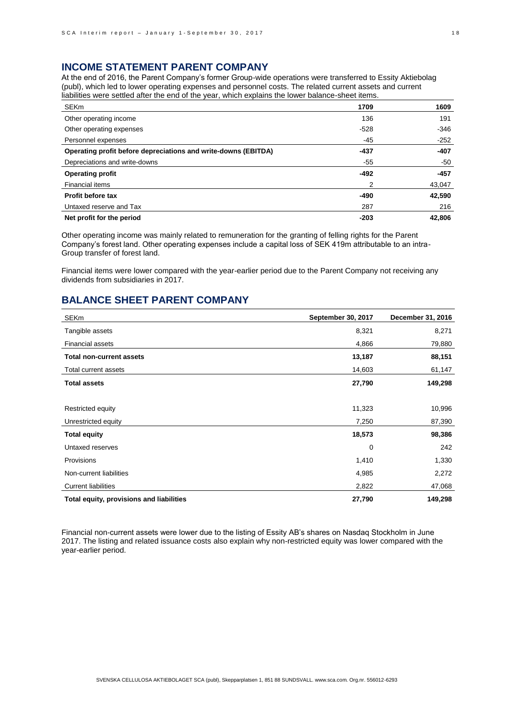## **INCOME STATEMENT PARENT COMPANY**

At the end of 2016, the Parent Company's former Group-wide operations were transferred to Essity Aktiebolag (publ), which led to lower operating expenses and personnel costs. The related current assets and current liabilities were settled after the end of the year, which explains the lower balance-sheet items.

| <b>SEKm</b>                                                    | 1709   | 1609   |
|----------------------------------------------------------------|--------|--------|
| Other operating income                                         | 136    | 191    |
| Other operating expenses                                       | $-528$ | $-346$ |
| Personnel expenses                                             | -45    | $-252$ |
| Operating profit before depreciations and write-downs (EBITDA) | -437   | $-407$ |
| Depreciations and write-downs                                  | -55    | -50    |
| <b>Operating profit</b>                                        | $-492$ | $-457$ |
| Financial items                                                | 2      | 43,047 |
| <b>Profit before tax</b>                                       | -490   | 42,590 |
| Untaxed reserve and Tax                                        | 287    | 216    |
| Net profit for the period                                      | $-203$ | 42.806 |

Other operating income was mainly related to remuneration for the granting of felling rights for the Parent Company's forest land. Other operating expenses include a capital loss of SEK 419m attributable to an intra-Group transfer of forest land.

Financial items were lower compared with the year-earlier period due to the Parent Company not receiving any dividends from subsidiaries in 2017.

## **BALANCE SHEET PARENT COMPANY**

| <b>SEKm</b>                              | September 30, 2017 | December 31, 2016 |
|------------------------------------------|--------------------|-------------------|
| Tangible assets                          | 8,321              | 8,271             |
| <b>Financial assets</b>                  | 4,866              | 79,880            |
| <b>Total non-current assets</b>          | 13,187             | 88,151            |
| Total current assets                     | 14,603             | 61,147            |
| <b>Total assets</b>                      | 27,790             | 149,298           |
|                                          |                    |                   |
| Restricted equity                        | 11,323             | 10,996            |
| Unrestricted equity                      | 7,250              | 87,390            |
| <b>Total equity</b>                      | 18,573             | 98,386            |
| Untaxed reserves                         | $\Omega$           | 242               |
| Provisions                               | 1,410              | 1,330             |
| Non-current liabilities                  | 4,985              | 2,272             |
| <b>Current liabilities</b>               | 2,822              | 47,068            |
| Total equity, provisions and liabilities | 27,790             | 149,298           |

Financial non-current assets were lower due to the listing of Essity AB's shares on Nasdaq Stockholm in June 2017. The listing and related issuance costs also explain why non-restricted equity was lower compared with the year-earlier period.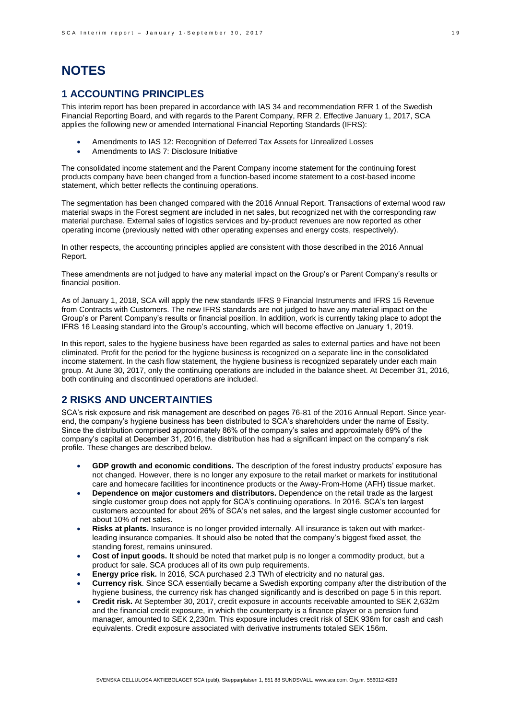# **NOTES**

## **1 ACCOUNTING PRINCIPLES**

This interim report has been prepared in accordance with IAS 34 and recommendation RFR 1 of the Swedish Financial Reporting Board, and with regards to the Parent Company, RFR 2. Effective January 1, 2017, SCA applies the following new or amended International Financial Reporting Standards (IFRS):

- Amendments to IAS 12: Recognition of Deferred Tax Assets for Unrealized Losses
- Amendments to IAS 7: Disclosure Initiative

The consolidated income statement and the Parent Company income statement for the continuing forest products company have been changed from a function-based income statement to a cost-based income statement, which better reflects the continuing operations.

The segmentation has been changed compared with the 2016 Annual Report. Transactions of external wood raw material swaps in the Forest segment are included in net sales, but recognized net with the corresponding raw material purchase. External sales of logistics services and by-product revenues are now reported as other operating income (previously netted with other operating expenses and energy costs, respectively).

In other respects, the accounting principles applied are consistent with those described in the 2016 Annual Report.

These amendments are not judged to have any material impact on the Group's or Parent Company's results or financial position.

As of January 1, 2018, SCA will apply the new standards IFRS 9 Financial Instruments and IFRS 15 Revenue from Contracts with Customers. The new IFRS standards are not judged to have any material impact on the Group's or Parent Company's results or financial position. In addition, work is currently taking place to adopt the IFRS 16 Leasing standard into the Group's accounting, which will become effective on January 1, 2019.

In this report, sales to the hygiene business have been regarded as sales to external parties and have not been eliminated. Profit for the period for the hygiene business is recognized on a separate line in the consolidated income statement. In the cash flow statement, the hygiene business is recognized separately under each main group. At June 30, 2017, only the continuing operations are included in the balance sheet. At December 31, 2016, both continuing and discontinued operations are included.

## **2 RISKS AND UNCERTAINTIES**

SCA's risk exposure and risk management are described on pages 76-81 of the 2016 Annual Report. Since yearend, the company's hygiene business has been distributed to SCA's shareholders under the name of Essity. Since the distribution comprised approximately 86% of the company's sales and approximately 69% of the company's capital at December 31, 2016, the distribution has had a significant impact on the company's risk profile. These changes are described below.

- **GDP growth and economic conditions.** The description of the forest industry products' exposure has not changed. However, there is no longer any exposure to the retail market or markets for institutional care and homecare facilities for incontinence products or the Away-From-Home (AFH) tissue market.
- **Dependence on major customers and distributors.** Dependence on the retail trade as the largest single customer group does not apply for SCA's continuing operations. In 2016, SCA's ten largest customers accounted for about 26% of SCA's net sales, and the largest single customer accounted for about 10% of net sales.
- **Risks at plants.** Insurance is no longer provided internally. All insurance is taken out with marketleading insurance companies. It should also be noted that the company's biggest fixed asset, the standing forest, remains uninsured.
- **Cost of input goods.** It should be noted that market pulp is no longer a commodity product, but a product for sale. SCA produces all of its own pulp requirements.
- **Energy price risk.** In 2016, SCA purchased 2.3 TWh of electricity and no natural gas.
- **Currency risk**. Since SCA essentially became a Swedish exporting company after the distribution of the hygiene business, the currency risk has changed significantly and is described on page 5 in this report.
- **Credit risk.** At September 30, 2017, credit exposure in accounts receivable amounted to SEK 2,632m and the financial credit exposure, in which the counterparty is a finance player or a pension fund manager, amounted to SEK 2,230m. This exposure includes credit risk of SEK 936m for cash and cash equivalents. Credit exposure associated with derivative instruments totaled SEK 156m.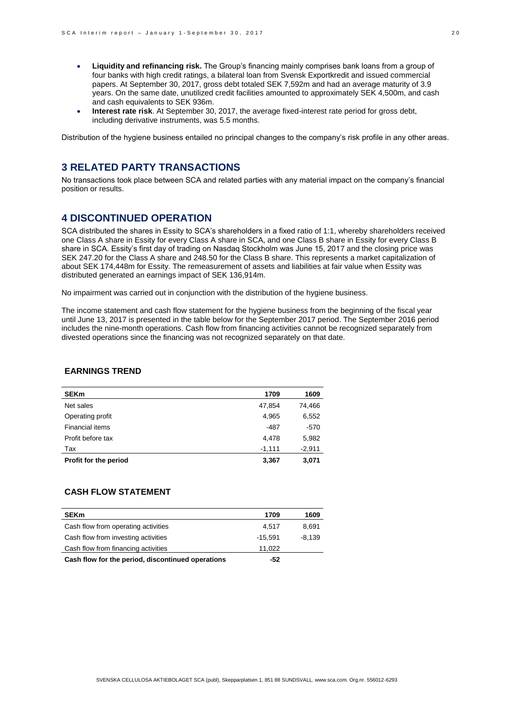- **Liquidity and refinancing risk.** The Group's financing mainly comprises bank loans from a group of four banks with high credit ratings, a bilateral loan from Svensk Exportkredit and issued commercial papers. At September 30, 2017, gross debt totaled SEK 7,592m and had an average maturity of 3.9 years. On the same date, unutilized credit facilities amounted to approximately SEK 4,500m, and cash and cash equivalents to SEK 936m.
- **Interest rate risk**. At September 30, 2017, the average fixed-interest rate period for gross debt, including derivative instruments, was 5.5 months.

Distribution of the hygiene business entailed no principal changes to the company's risk profile in any other areas.

# **3 RELATED PARTY TRANSACTIONS**

No transactions took place between SCA and related parties with any material impact on the company's financial position or results.

## **4 DISCONTINUED OPERATION**

SCA distributed the shares in Essity to SCA's shareholders in a fixed ratio of 1:1, whereby shareholders received one Class A share in Essity for every Class A share in SCA, and one Class B share in Essity for every Class B share in SCA. Essity's first day of trading on Nasdaq Stockholm was June 15, 2017 and the closing price was SEK 247.20 for the Class A share and 248.50 for the Class B share. This represents a market capitalization of about SEK 174,448m for Essity. The remeasurement of assets and liabilities at fair value when Essity was distributed generated an earnings impact of SEK 136,914m.

No impairment was carried out in conjunction with the distribution of the hygiene business.

The income statement and cash flow statement for the hygiene business from the beginning of the fiscal year until June 13, 2017 is presented in the table below for the September 2017 period. The September 2016 period includes the nine-month operations. Cash flow from financing activities cannot be recognized separately from divested operations since the financing was not recognized separately on that date.

## **EARNINGS TREND**

| <b>SEKm</b>           | 1709     | 1609     |
|-----------------------|----------|----------|
| Net sales             | 47.854   | 74,466   |
| Operating profit      | 4.965    | 6,552    |
| Financial items       | -487     | $-570$   |
| Profit before tax     | 4,478    | 5,982    |
| Tax                   | $-1,111$ | $-2,911$ |
| Profit for the period | 3,367    | 3,071    |

## **CASH FLOW STATEMENT**

| <b>SEKm</b>                                       | 1709      | 1609     |
|---------------------------------------------------|-----------|----------|
| Cash flow from operating activities               | 4.517     | 8.691    |
| Cash flow from investing activities               | $-15.591$ | $-8.139$ |
| Cash flow from financing activities               | 11.022    |          |
| Cash flow for the period, discontinued operations | -52       |          |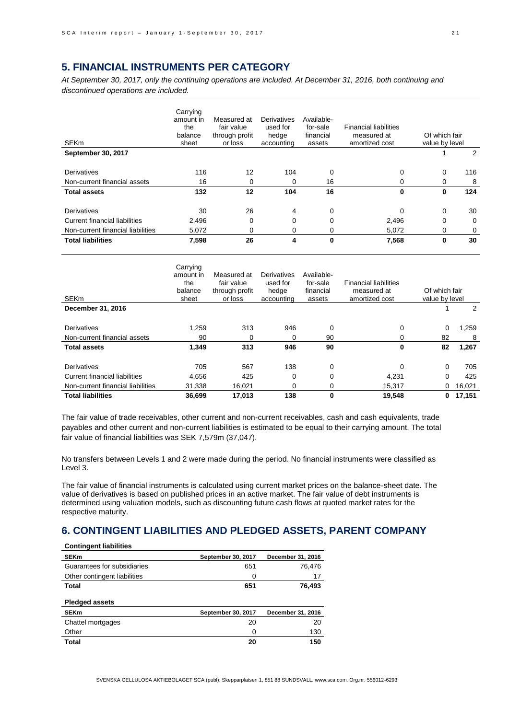## **5. FINANCIAL INSTRUMENTS PER CATEGORY**

*At September 30, 2017, only the continuing operations are included. At December 31, 2016, both continuing and discontinued operations are included.*

| <b>SEKm</b>                          | Carrying<br>amount in<br>the<br>balance<br>sheet | Measured at<br>fair value<br>through profit<br>or loss | Derivatives<br>used for<br>hedge<br>accounting | Available-<br>for-sale<br>financial<br>assets | <b>Financial liabilities</b><br>measured at<br>amortized cost | Of which fair<br>value by level |          |
|--------------------------------------|--------------------------------------------------|--------------------------------------------------------|------------------------------------------------|-----------------------------------------------|---------------------------------------------------------------|---------------------------------|----------|
| September 30, 2017                   |                                                  |                                                        |                                                |                                               |                                                               |                                 | 2        |
| <b>Derivatives</b>                   | 116                                              | 12                                                     | 104                                            | 0                                             | $\Omega$                                                      | 0                               | 116      |
| Non-current financial assets         | 16                                               | 0                                                      | 0                                              | 16                                            | $\Omega$                                                      | 0                               | 8        |
| <b>Total assets</b>                  | 132                                              | 12                                                     | 104                                            | 16                                            | 0                                                             | 0                               | 124      |
| Derivatives                          | 30                                               | 26                                                     | 4                                              | $\mathbf 0$                                   | $\Omega$                                                      | 0                               | 30       |
| <b>Current financial liabilities</b> | 2,496                                            | $\Omega$                                               | $\Omega$                                       | 0                                             | 2,496                                                         | 0                               | $\Omega$ |
| Non-current financial liabilities    | 5,072                                            | 0                                                      | 0                                              | 0                                             | 5,072                                                         | 0                               | 0        |
| <b>Total liabilities</b>             | 7,598                                            | 26                                                     | 4                                              | 0                                             | 7,568                                                         | 0                               | 30       |

| <b>SEKm</b>                       | Carrying<br>amount in<br>the<br>balance<br>sheet | Measured at<br>fair value<br>through profit<br>or loss | Derivatives<br>used for<br>hedge<br>accounting | Available-<br>for-sale<br>financial<br>assets | <b>Financial liabilities</b><br>measured at<br>amortized cost | Of which fair<br>value by level |        |
|-----------------------------------|--------------------------------------------------|--------------------------------------------------------|------------------------------------------------|-----------------------------------------------|---------------------------------------------------------------|---------------------------------|--------|
| December 31, 2016                 |                                                  |                                                        |                                                |                                               |                                                               |                                 | 2      |
| Derivatives                       | 1.259                                            | 313                                                    | 946                                            | 0                                             | 0                                                             | 0                               | 1,259  |
| Non-current financial assets      | 90                                               | 0                                                      | 0                                              | 90                                            | 0                                                             | 82                              | 8      |
| <b>Total assets</b>               | 1,349                                            | 313                                                    | 946                                            | 90                                            | 0                                                             | 82                              | 1,267  |
| Derivatives                       | 705                                              | 567                                                    | 138                                            | 0                                             | $\Omega$                                                      | $\Omega$                        | 705    |
| Current financial liabilities     | 4,656                                            | 425                                                    | 0                                              | 0                                             | 4,231                                                         | $\Omega$                        | 425    |
| Non-current financial liabilities | 31,338                                           | 16,021                                                 | 0                                              | 0                                             | 15,317                                                        | 0                               | 16,021 |
| <b>Total liabilities</b>          | 36.699                                           | 17,013                                                 | 138                                            | $\bf{0}$                                      | 19,548                                                        | 0                               | 17,151 |

The fair value of trade receivables, other current and non-current receivables, cash and cash equivalents, trade payables and other current and non-current liabilities is estimated to be equal to their carrying amount. The total fair value of financial liabilities was SEK 7,579m (37,047).

No transfers between Levels 1 and 2 were made during the period. No financial instruments were classified as Level 3.

The fair value of financial instruments is calculated using current market prices on the balance-sheet date. The value of derivatives is based on published prices in an active market. The fair value of debt instruments is determined using valuation models, such as discounting future cash flows at quoted market rates for the respective maturity.

## **6. CONTINGENT LIABILITIES AND PLEDGED ASSETS, PARENT COMPANY**

| <b>Contingent liabilities</b> |                    |                   |
|-------------------------------|--------------------|-------------------|
| <b>SEKm</b>                   | September 30, 2017 | December 31, 2016 |
| Guarantees for subsidiaries   | 651                | 76.476            |
| Other contingent liabilities  | 0                  | 17                |
| <b>Total</b>                  | 651                | 76,493            |
| <b>Pledged assets</b>         |                    |                   |
| <b>SEKm</b>                   | September 30, 2017 | December 31, 2016 |
| Chattel mortgages             | 20                 | 20                |
| Other                         | 0                  | 130               |
| Total                         | 20                 | 150               |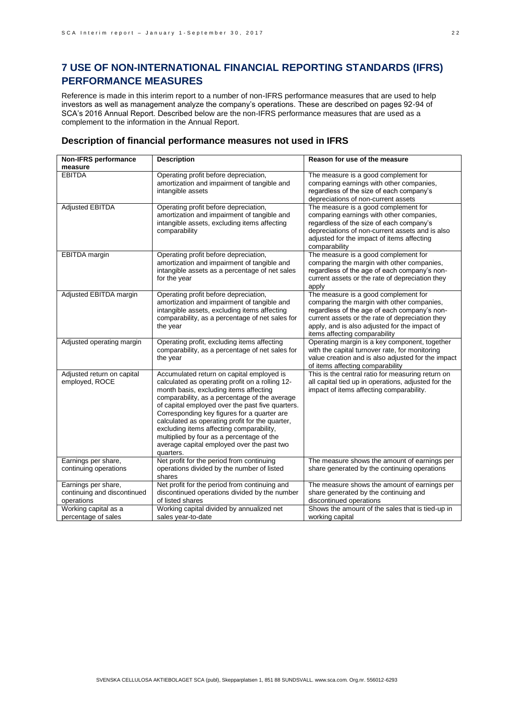# **7 USE OF NON-INTERNATIONAL FINANCIAL REPORTING STANDARDS (IFRS) PERFORMANCE MEASURES**

Reference is made in this interim report to a number of non-IFRS performance measures that are used to help investors as well as management analyze the company's operations. These are described on pages 92-94 of SCA's 2016 Annual Report. Described below are the non-IFRS performance measures that are used as a complement to the information in the Annual Report.

## **Description of financial performance measures not used in IFRS**

| <b>Non-IFRS performance</b>                                      | <b>Description</b>                                                                                                                                                                                                                                                                                                                                                                                                                                                                                | Reason for use of the measure                                                                                                                                                                                                                                           |
|------------------------------------------------------------------|---------------------------------------------------------------------------------------------------------------------------------------------------------------------------------------------------------------------------------------------------------------------------------------------------------------------------------------------------------------------------------------------------------------------------------------------------------------------------------------------------|-------------------------------------------------------------------------------------------------------------------------------------------------------------------------------------------------------------------------------------------------------------------------|
| measure                                                          |                                                                                                                                                                                                                                                                                                                                                                                                                                                                                                   |                                                                                                                                                                                                                                                                         |
| <b>EBITDA</b>                                                    | Operating profit before depreciation,<br>amortization and impairment of tangible and<br>intangible assets                                                                                                                                                                                                                                                                                                                                                                                         | The measure is a good complement for<br>comparing earnings with other companies,<br>regardless of the size of each company's<br>depreciations of non-current assets                                                                                                     |
| Adjusted EBITDA                                                  | Operating profit before depreciation,<br>amortization and impairment of tangible and<br>intangible assets, excluding items affecting<br>comparability                                                                                                                                                                                                                                                                                                                                             | The measure is a good complement for<br>comparing earnings with other companies,<br>regardless of the size of each company's<br>depreciations of non-current assets and is also<br>adjusted for the impact of items affecting<br>comparability                          |
| EBITDA margin                                                    | Operating profit before depreciation,<br>amortization and impairment of tangible and<br>intangible assets as a percentage of net sales<br>for the year                                                                                                                                                                                                                                                                                                                                            | The measure is a good complement for<br>comparing the margin with other companies,<br>regardless of the age of each company's non-<br>current assets or the rate of depreciation they<br>apply                                                                          |
| Adjusted EBITDA margin                                           | Operating profit before depreciation,<br>amortization and impairment of tangible and<br>intangible assets, excluding items affecting<br>comparability, as a percentage of net sales for<br>the year                                                                                                                                                                                                                                                                                               | The measure is a good complement for<br>comparing the margin with other companies,<br>regardless of the age of each company's non-<br>current assets or the rate of depreciation they<br>apply, and is also adjusted for the impact of<br>items affecting comparability |
| Adjusted operating margin                                        | Operating profit, excluding items affecting<br>comparability, as a percentage of net sales for<br>the year                                                                                                                                                                                                                                                                                                                                                                                        | Operating margin is a key component, together<br>with the capital turnover rate, for monitoring<br>value creation and is also adjusted for the impact<br>of items affecting comparability                                                                               |
| Adjusted return on capital<br>employed, ROCE                     | Accumulated return on capital employed is<br>calculated as operating profit on a rolling 12-<br>month basis, excluding items affecting<br>comparability, as a percentage of the average<br>of capital employed over the past five quarters.<br>Corresponding key figures for a quarter are<br>calculated as operating profit for the quarter,<br>excluding items affecting comparability,<br>multiplied by four as a percentage of the<br>average capital employed over the past two<br>quarters. | This is the central ratio for measuring return on<br>all capital tied up in operations, adjusted for the<br>impact of items affecting comparability.                                                                                                                    |
| Earnings per share,<br>continuing operations                     | Net profit for the period from continuing<br>operations divided by the number of listed<br>shares                                                                                                                                                                                                                                                                                                                                                                                                 | The measure shows the amount of earnings per<br>share generated by the continuing operations                                                                                                                                                                            |
| Earnings per share,<br>continuing and discontinued<br>operations | Net profit for the period from continuing and<br>discontinued operations divided by the number<br>of listed shares                                                                                                                                                                                                                                                                                                                                                                                | The measure shows the amount of earnings per<br>share generated by the continuing and<br>discontinued operations                                                                                                                                                        |
| Working capital as a<br>percentage of sales                      | Working capital divided by annualized net<br>sales year-to-date                                                                                                                                                                                                                                                                                                                                                                                                                                   | Shows the amount of the sales that is tied-up in<br>working capital                                                                                                                                                                                                     |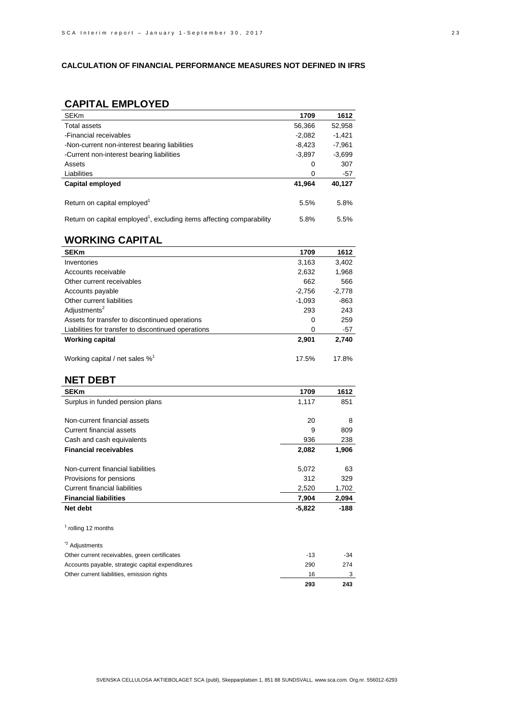## **CALCULATION OF FINANCIAL PERFORMANCE MEASURES NOT DEFINED IN IFRS**

# **CAPITAL EMPLOYED**

| <b>SEKm</b>                                                                       | 1709     | 1612     |
|-----------------------------------------------------------------------------------|----------|----------|
| Total assets                                                                      | 56,366   | 52,958   |
| -Financial receivables                                                            | $-2.082$ | $-1,421$ |
| -Non-current non-interest bearing liabilities                                     | $-8,423$ | $-7,961$ |
| -Current non-interest bearing liabilities                                         | $-3,897$ | $-3,699$ |
| Assets                                                                            | 0        | 307      |
| Liabilities                                                                       | 0        | -57      |
| Capital employed                                                                  | 41,964   | 40,127   |
| Return on capital employed <sup>1</sup>                                           | 5.5%     | 5.8%     |
| Return on capital employed <sup>1</sup> , excluding items affecting comparability | 5.8%     | 5.5%     |

## **WORKING CAPITAL**

| <b>SEKm</b>                                         | 1709     | 1612     |
|-----------------------------------------------------|----------|----------|
| Inventories                                         | 3,163    | 3,402    |
| Accounts receivable                                 | 2,632    | 1,968    |
| Other current receivables                           | 662      | 566      |
| Accounts payable                                    | $-2.756$ | $-2.778$ |
| Other current liabilities                           | $-1.093$ | -863     |
| Adjustments <sup>2</sup>                            | 293      | 243      |
| Assets for transfer to discontinued operations      | 0        | 259      |
| Liabilities for transfer to discontinued operations | 0        | $-57$    |
| <b>Working capital</b>                              | 2,901    | 2,740    |
| Working capital / net sales $\%$ <sup>1</sup>       | 17.5%    | 17.8%    |

## **NET DEBT**

| ----                                             |          |        |
|--------------------------------------------------|----------|--------|
| <b>SEKm</b>                                      | 1709     | 1612   |
| Surplus in funded pension plans                  | 1,117    | 851    |
|                                                  |          |        |
| Non-current financial assets                     | 20       | 8      |
| <b>Current financial assets</b>                  | 9        | 809    |
| Cash and cash equivalents                        | 936      | 238    |
| <b>Financial receivables</b>                     | 2,082    | 1,906  |
| Non-current financial liabilities                | 5,072    | 63     |
| Provisions for pensions                          | 312      | 329    |
| <b>Current financial liabilities</b>             | 2,520    | 1,702  |
| <b>Financial liabilities</b>                     | 7,904    | 2,094  |
| Net debt                                         | $-5,822$ | $-188$ |
| <sup>1</sup> rolling 12 months                   |          |        |
| * <sup>2</sup> Adjustments                       |          |        |
| Other current receivables, green certificates    | $-13$    | $-34$  |
| Accounts payable, strategic capital expenditures | 290      | 274    |
| Other current liabilities, emission rights       | 16       | 3      |
|                                                  | 293      | 243    |